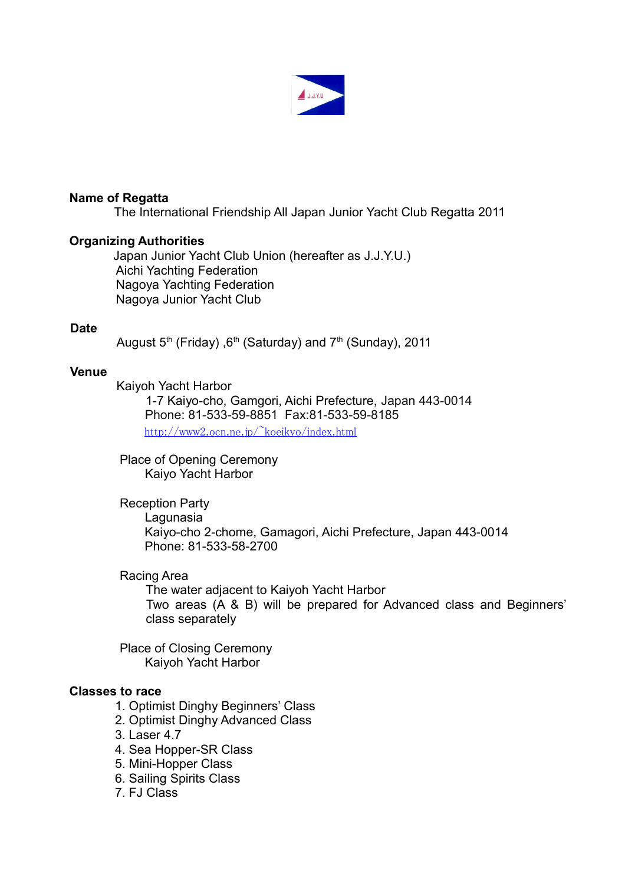

## **Name of Regatta**

The International Friendship All Japan Junior Yacht Club Regatta 2011

#### **Organizing Authorities**

Japan Junior Yacht Club Union (hereafter as J.J.Y.U.) Aichi Yachting Federation Nagoya Yachting Federation Nagoya Junior Yacht Club

#### **Date**

August  $5<sup>th</sup>$  (Friday),  $6<sup>th</sup>$  (Saturday) and  $7<sup>th</sup>$  (Sunday), 2011

#### **Venue**

Kaiyoh Yacht Harbor

 1-7 Kaiyo-cho, Gamgori, Aichi Prefecture, Japan 443-0014 Phone: 81-533-59-8851 Fax:81-533-59-8185  [http://www 2.ocn.ne.jp/~koeikyo/index.html](http://www2.ocn.ne.jp/~koeikyo/index.html)

Place of Opening Ceremony Kaiyo Yacht Harbor

Reception Party Lagunasia Kaiyo-cho 2-chome, Gamagori, Aichi Prefecture, Japan 443-0014 Phone: 81-533-58-2700

# Racing Area

The water adjacent to Kaiyoh Yacht Harbor Two areas (A & B) will be prepared for Advanced class and Beginners' class separately

Place of Closing Ceremony Kaiyoh Yacht Harbor

#### **Classes to race**

- 1. Optimist Dinghy Beginners' Class
- 2. Optimist Dinghy Advanced Class
- 3. Laser 4.7
- 4. Sea Hopper-SR Class
- 5. Mini-Hopper Class
- 6. Sailing Spirits Class
- 7. FJ Class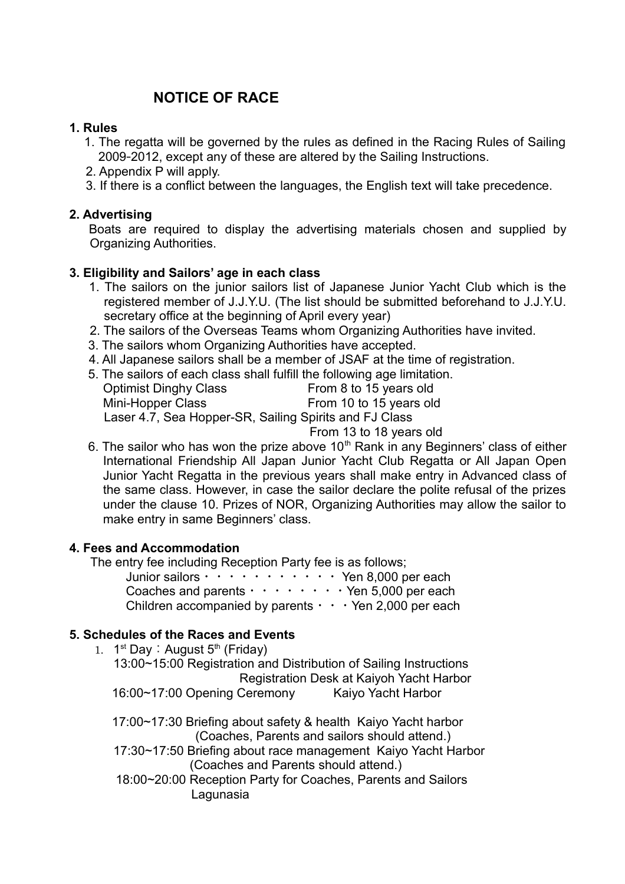# **NOTICE OF RACE**

# **1. Rules**

- 1. The regatta will be governed by the rules as defined in the Racing Rules of Sailing 2009-2012, except any of these are altered by the Sailing Instructions.
- 2. Appendix P will apply.
- 3. If there is a conflict between the languages, the English text will take precedence.

# **2. Advertising**

Boats are required to display the advertising materials chosen and supplied by Organizing Authorities.

# **3. Eligibility and Sailors' age in each class**

- 1. The sailors on the junior sailors list of Japanese Junior Yacht Club which is the registered member of J.J.Y.U. (The list should be submitted beforehand to J.J.Y.U. secretary office at the beginning of April every year)
- 2. The sailors of the Overseas Teams whom Organizing Authorities have invited.
- 3. The sailors whom Organizing Authorities have accepted.
- 4. All Japanese sailors shall be a member of JSAF at the time of registration.
- 5. The sailors of each class shall fulfill the following age limitation.

| <b>Optimist Dinghy Class</b>                           | From 8 to 15 years old  |  |
|--------------------------------------------------------|-------------------------|--|
| Mini-Hopper Class                                      | From 10 to 15 years old |  |
| Laser 4.7, Sea Hopper-SR, Sailing Spirits and FJ Class |                         |  |
|                                                        | From 13 to 18 years old |  |

6. The sailor who has won the prize above  $10<sup>th</sup>$  Rank in any Beginners' class of either International Friendship All Japan Junior Yacht Club Regatta or All Japan Open Junior Yacht Regatta in the previous years shall make entry in Advanced class of the same class. However, in case the sailor declare the polite refusal of the prizes under the clause 10. Prizes of NOR, Organizing Authorities may allow the sailor to make entry in same Beginners' class.

## **4. Fees and Accommodation**

1. 1

The entry fee including Reception Party fee is as follows;

| Junior sailors $\cdots$ $\cdots$ $\cdots$ $\cdots$ $\cdots$ Yen 8,000 per each |
|--------------------------------------------------------------------------------|
| Coaches and parents $\cdots \cdots \cdots$ Yen 5,000 per each                  |
| Children accompanied by parents $\cdot \cdot \cdot$ Yen 2,000 per each         |

# **5. Schedules of the Races and Events**

| 1. $1^{st}$ Day: August $5^{th}$ (Friday)                         |  |  |  |
|-------------------------------------------------------------------|--|--|--|
| 13:00~15:00 Registration and Distribution of Sailing Instructions |  |  |  |
| Registration Desk at Kaiyoh Yacht Harbor                          |  |  |  |
| 16:00~17:00 Opening Ceremony<br>Kaiyo Yacht Harbor                |  |  |  |
| 17:00~17:30 Briefing about safety & health Kaiyo Yacht harbor     |  |  |  |
| (Coaches, Parents and sailors should attend.)                     |  |  |  |
| 17:30~17:50 Briefing about race management Kaiyo Yacht Harbor     |  |  |  |
| (Coaches and Parents should attend.)                              |  |  |  |
| 18:00~20:00 Reception Party for Coaches, Parents and Sailors      |  |  |  |
| Lagunasia                                                         |  |  |  |
|                                                                   |  |  |  |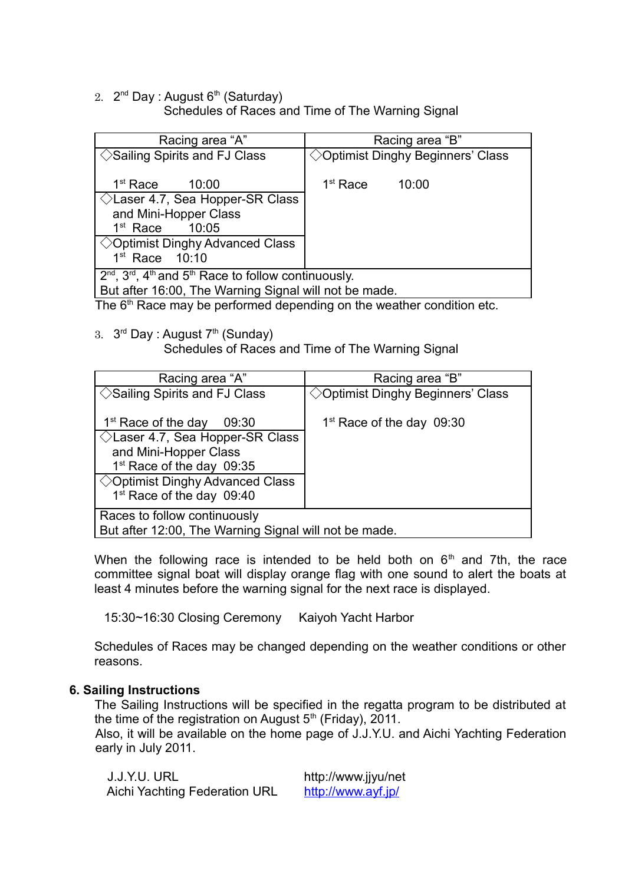2. 2<sup>nd</sup> Day : August 6<sup>th</sup> (Saturday)

Schedules of Races and Time of The Warning Signal

| Racing area "A"                                                                                                                                                                   | Racing area "B"                             |  |
|-----------------------------------------------------------------------------------------------------------------------------------------------------------------------------------|---------------------------------------------|--|
| $\Diamond$ Sailing Spirits and FJ Class                                                                                                                                           | $\Diamond$ Optimist Dinghy Beginners' Class |  |
| 1 <sup>st</sup> Race<br>10:00<br>$\Diamond$ Laser 4.7, Sea Hopper-SR Class<br>and Mini-Hopper Class<br>1 <sup>st</sup> Race<br>10:05<br>$\Diamond$ Optimist Dinghy Advanced Class | 1 <sup>st</sup> Race<br>10:00               |  |
| $1st$ Race $10:10$                                                                                                                                                                |                                             |  |
| $2^{nd}$ , $3^{rd}$ , $4^{th}$ and $5^{th}$ Race to follow continuously.<br>But after 16:00, The Warning Signal will not be made.                                                 |                                             |  |

The 6<sup>th</sup> Race may be performed depending on the weather condition etc.

3.  $3<sup>rd</sup>$  Day : August 7<sup>th</sup> (Sunday)

Schedules of Races and Time of The Warning Signal

| Racing area "A"                                                                                                                                                                                                                               | Racing area "B"                    |  |
|-----------------------------------------------------------------------------------------------------------------------------------------------------------------------------------------------------------------------------------------------|------------------------------------|--|
| $\Diamond$ Sailing Spirits and FJ Class                                                                                                                                                                                                       | ◇ Optimist Dinghy Beginners' Class |  |
| 1 <sup>st</sup> Race of the day<br>09:30<br>$\Diamond$ Laser 4.7, Sea Hopper-SR Class<br>and Mini-Hopper Class<br>1 <sup>st</sup> Race of the day 09:35<br>$\Diamond$ Optimist Dinghy Advanced Class<br>1 <sup>st</sup> Race of the day 09:40 | $1st$ Race of the day 09:30        |  |
| Races to follow continuously<br>But after 12:00, The Warning Signal will not be made.                                                                                                                                                         |                                    |  |

When the following race is intended to be held both on  $6<sup>th</sup>$  and 7th, the race committee signal boat will display orange flag with one sound to alert the boats at least 4 minutes before the warning signal for the next race is displayed.

15:30~16:30 Closing Ceremony Kaiyoh Yacht Harbor

Schedules of Races may be changed depending on the weather conditions or other reasons.

## **6. Sailing Instructions**

The Sailing Instructions will be specified in the regatta program to be distributed at the time of the registration on August  $5<sup>th</sup>$  (Friday), 2011.

Also, it will be available on the home page of J.J.Y.U. and Aichi Yachting Federation early in July 2011.

| J.J.Y.U. URL                  | http://www.jjyu/net |
|-------------------------------|---------------------|
| Aichi Yachting Federation URL | http://www.ayf.jp/  |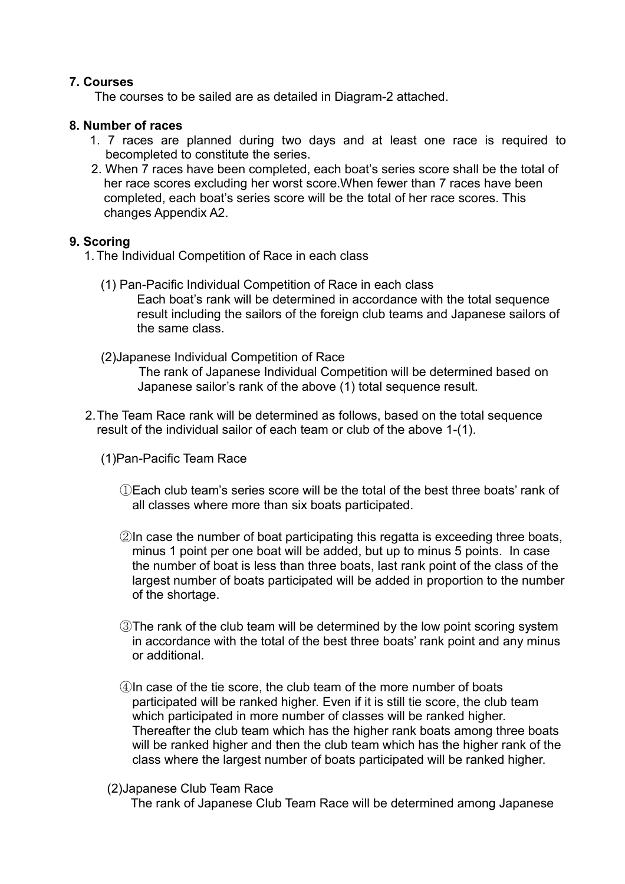## **7. Courses**

The courses to be sailed are as detailed in Diagram-2 attached.

## **8. Number of races**

- 1. 7 races are planned during two days and at least one race is required to becompleted to constitute the series.
- 2. When 7 races have been completed, each boat's series score shall be the total of her race scores excluding her worst score.When fewer than 7 races have been completed, each boat's series score will be the total of her race scores. This changes Appendix A2.

# **9. Scoring**

- 1.The Individual Competition of Race in each class
	- (1) Pan-Pacific Individual Competition of Race in each class Each boat's rank will be determined in accordance with the total sequence result including the sailors of the foreign club teams and Japanese sailors of the same class.
	- (2)Japanese Individual Competition of Race The rank of Japanese Individual Competition will be determined based on Japanese sailor's rank of the above (1) total sequence result.
- 2.The Team Race rank will be determined as follows, based on the total sequence result of the individual sailor of each team or club of the above 1-(1).
	- (1)Pan-Pacific Team Race
		- ①Each club team's series score will be the total of the best three boats' rank of all classes where more than six boats participated.
		- ②In case the number of boat participating this regatta is exceeding three boats, minus 1 point per one boat will be added, but up to minus 5 points. In case the number of boat is less than three boats, last rank point of the class of the largest number of boats participated will be added in proportion to the number of the shortage.
		- ③The rank of the club team will be determined by the low point scoring system in accordance with the total of the best three boats' rank point and any minus or additional.
		- ④In case of the tie score, the club team of the more number of boats participated will be ranked higher. Even if it is still tie score, the club team which participated in more number of classes will be ranked higher. Thereafter the club team which has the higher rank boats among three boats will be ranked higher and then the club team which has the higher rank of the class where the largest number of boats participated will be ranked higher.
		- (2)Japanese Club Team Race

The rank of Japanese Club Team Race will be determined among Japanese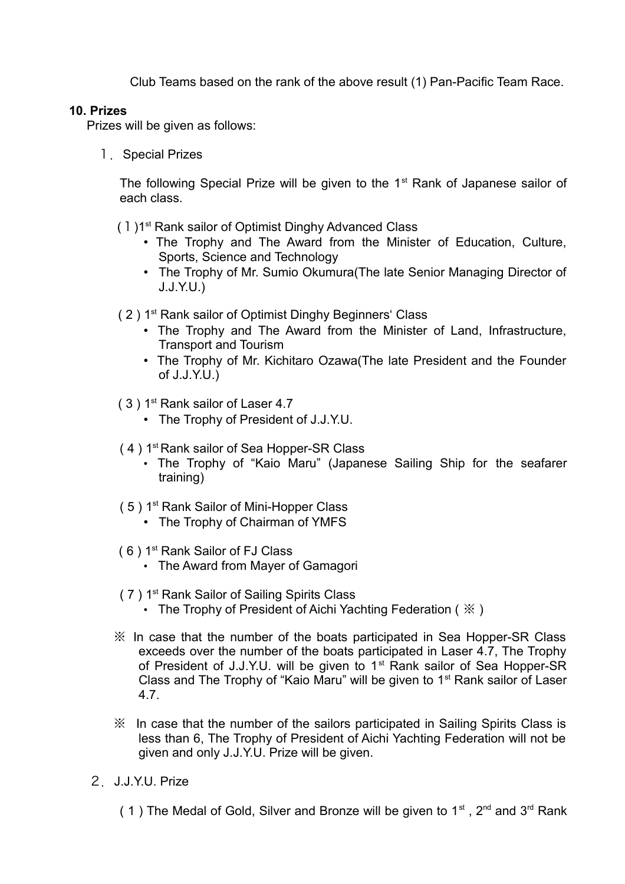Club Teams based on the rank of the above result (1) Pan-Pacific Team Race.

# **10. Prizes**

Prizes will be given as follows:

1. Special Prizes

The following Special Prize will be given to the 1<sup>st</sup> Rank of Japanese sailor of each class.

- (1)1<sup>st</sup> Rank sailor of Optimist Dinghy Advanced Class
	- The Trophy and The Award from the Minister of Education, Culture, Sports, Science and Technology
	- The Trophy of Mr. Sumio Okumura(The late Senior Managing Director of J.J.Y.U.)
- ( 2 ) 1st Rank sailor of Optimist Dinghy Beginners' Class
	- The Trophy and The Award from the Minister of Land, Infrastructure, Transport and Tourism
	- The Trophy of Mr. Kichitaro Ozawa(The late President and the Founder of J.J.Y.U.)
- ( 3 ) 1st Rank sailor of Laser 4.7
	- The Trophy of President of J.J.Y.U.
- ( 4 ) 1st Rank sailor of Sea Hopper-SR Class
	- The Trophy of "Kaio Maru" (Japanese Sailing Ship for the seafarer training)
- (5) 1<sup>st</sup> Rank Sailor of Mini-Hopper Class
	- The Trophy of Chairman of YMFS
- ( 6 ) 1st Rank Sailor of FJ Class
	- The Award from Mayer of Gamagori
- ( 7 ) 1st Rank Sailor of Sailing Spirits Class
	- The Trophy of President of Aichi Yachting Federation ( $\mathcal{K}$ )
- ※ In case that the number of the boats participated in Sea Hopper-SR Class exceeds over the number of the boats participated in Laser 4.7, The Trophy of President of J.J.Y.U. will be given to 1<sup>st</sup> Rank sailor of Sea Hopper-SR Class and The Trophy of "Kaio Maru" will be given to 1<sup>st</sup> Rank sailor of Laser 4.7.
- ※ In case that the number of the sailors participated in Sailing Spirits Class is less than 6, The Trophy of President of Aichi Yachting Federation will not be given and only J.J.Y.U. Prize will be given.
- 2.J.J.Y.U. Prize
	- ( 1) The Medal of Gold, Silver and Bronze will be given to  $1<sup>st</sup>$ ,  $2<sup>nd</sup>$  and  $3<sup>rd</sup>$  Rank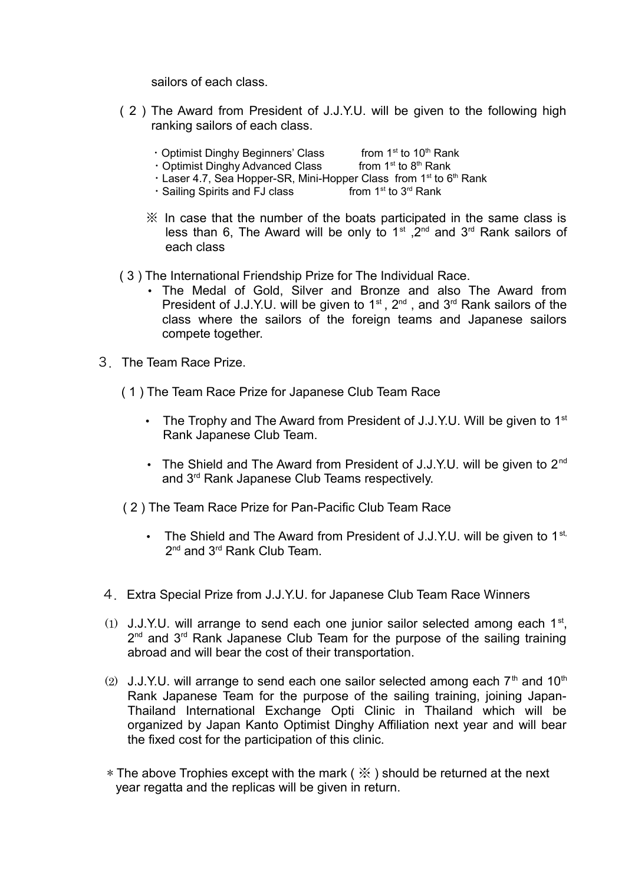sailors of each class.

- ( 2 ) The Award from President of J.J.Y.U. will be given to the following high ranking sailors of each class.
	- Optimist Dinghy Beginners' Class from  $1<sup>st</sup>$  to  $10<sup>th</sup>$  Rank
	- Optimist Dinghy Advanced Class from  $1<sup>st</sup>$  to  $8<sup>th</sup>$  Rank
	- Laser 4.7, Sea Hopper-SR, Mini-Hopper Class from 1<sup>st</sup> to 6<sup>th</sup> Rank <br>• Sailing Spirits and FJ class from 1<sup>st</sup> to 3<sup>rd</sup> Rank
	- $\cdot$  Sailing Spirits and FJ class
	- ※ In case that the number of the boats participated in the same class is less than 6, The Award will be only to  $1<sup>st</sup>$ ,  $2<sup>nd</sup>$  and  $3<sup>rd</sup>$  Rank sailors of each class
- ( 3 ) The International Friendship Prize for The Individual Race.
	- The Medal of Gold, Silver and Bronze and also The Award from President of J.J.Y.U. will be given to  $1<sup>st</sup>$ ,  $2<sup>nd</sup>$ , and  $3<sup>rd</sup>$  Rank sailors of the class where the sailors of the foreign teams and Japanese sailors compete together.
- 3.The Team Race Prize.
	- ( 1 ) The Team Race Prize for Japanese Club Team Race
		- The Trophy and The Award from President of J.J.Y.U. Will be given to  $1<sup>st</sup>$ Rank Japanese Club Team.
		- The Shield and The Award from President of J.J.Y.U. will be given to 2<sup>nd</sup> and 3rd Rank Japanese Club Teams respectively.
	- ( 2 ) The Team Race Prize for Pan-Pacific Club Team Race
		- The Shield and The Award from President of J.J.Y.U. will be given to  $1^{st}$ , 2<sup>nd</sup> and 3<sup>rd</sup> Rank Club Team.
- 4.Extra Special Prize from J.J.Y.U. for Japanese Club Team Race Winners
- (1) J.J.Y.U. will arrange to send each one junior sailor selected among each  $1<sup>st</sup>$ , 2<sup>nd</sup> and 3<sup>rd</sup> Rank Japanese Club Team for the purpose of the sailing training abroad and will bear the cost of their transportation.
- (2) J.J.Y.U. will arrange to send each one sailor selected among each  $7<sup>th</sup>$  and  $10<sup>th</sup>$ Rank Japanese Team for the purpose of the sailing training, joining Japan-Thailand International Exchange Opti Clinic in Thailand which will be organized by Japan Kanto Optimist Dinghy Affiliation next year and will bear the fixed cost for the participation of this clinic.
- \* The above Trophies except with the mark ( ※ ) should be returned at the next year regatta and the replicas will be given in return.